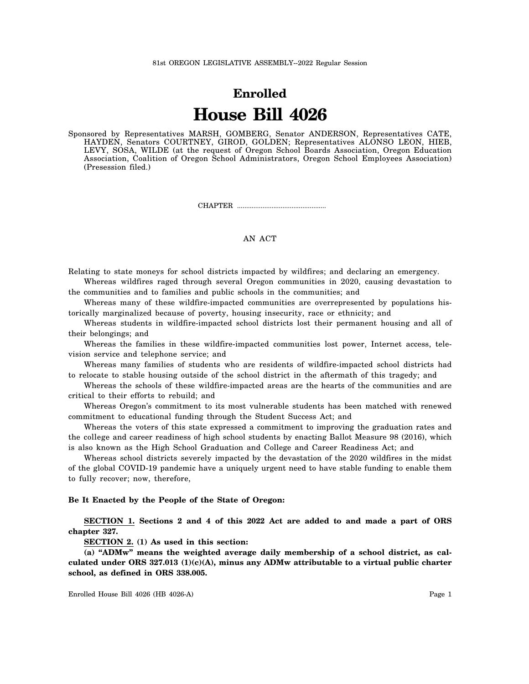## **Enrolled House Bill 4026**

Sponsored by Representatives MARSH, GOMBERG, Senator ANDERSON, Representatives CATE, HAYDEN, Senators COURTNEY, GIROD, GOLDEN; Representatives ALONSO LEON, HIEB, LEVY, SOSA, WILDE (at the request of Oregon School Boards Association, Oregon Education Association, Coalition of Oregon School Administrators, Oregon School Employees Association) (Presession filed.)

CHAPTER .................................................

## AN ACT

Relating to state moneys for school districts impacted by wildfires; and declaring an emergency. Whereas wildfires raged through several Oregon communities in 2020, causing devastation to

the communities and to families and public schools in the communities; and

Whereas many of these wildfire-impacted communities are overrepresented by populations historically marginalized because of poverty, housing insecurity, race or ethnicity; and

Whereas students in wildfire-impacted school districts lost their permanent housing and all of their belongings; and

Whereas the families in these wildfire-impacted communities lost power, Internet access, television service and telephone service; and

Whereas many families of students who are residents of wildfire-impacted school districts had to relocate to stable housing outside of the school district in the aftermath of this tragedy; and

Whereas the schools of these wildfire-impacted areas are the hearts of the communities and are critical to their efforts to rebuild; and

Whereas Oregon's commitment to its most vulnerable students has been matched with renewed commitment to educational funding through the Student Success Act; and

Whereas the voters of this state expressed a commitment to improving the graduation rates and the college and career readiness of high school students by enacting Ballot Measure 98 (2016), which is also known as the High School Graduation and College and Career Readiness Act; and

Whereas school districts severely impacted by the devastation of the 2020 wildfires in the midst of the global COVID-19 pandemic have a uniquely urgent need to have stable funding to enable them to fully recover; now, therefore,

## **Be It Enacted by the People of the State of Oregon:**

**SECTION 1. Sections 2 and 4 of this 2022 Act are added to and made a part of ORS chapter 327.**

**SECTION 2. (1) As used in this section:**

**(a) "ADMw" means the weighted average daily membership of a school district, as calculated under ORS 327.013 (1)(c)(A), minus any ADMw attributable to a virtual public charter school, as defined in ORS 338.005.**

Enrolled House Bill 4026 (HB 4026-A) Page 1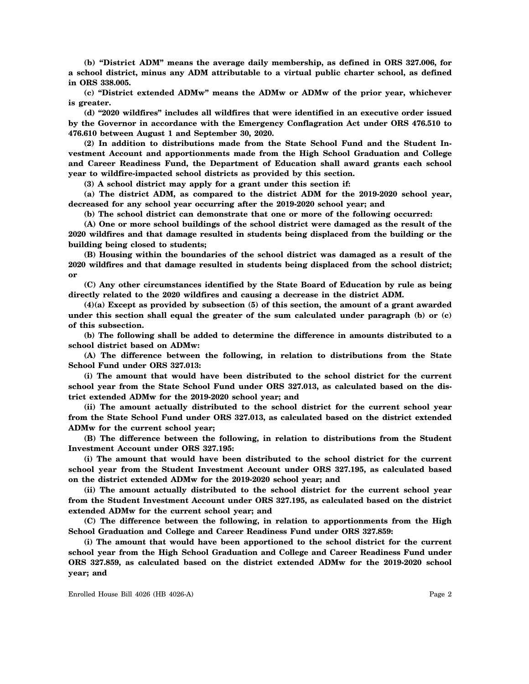**(b) "District ADM" means the average daily membership, as defined in ORS 327.006, for a school district, minus any ADM attributable to a virtual public charter school, as defined in ORS 338.005.**

**(c) "District extended ADMw" means the ADMw or ADMw of the prior year, whichever is greater.**

**(d) "2020 wildfires" includes all wildfires that were identified in an executive order issued by the Governor in accordance with the Emergency Conflagration Act under ORS 476.510 to 476.610 between August 1 and September 30, 2020.**

**(2) In addition to distributions made from the State School Fund and the Student Investment Account and apportionments made from the High School Graduation and College and Career Readiness Fund, the Department of Education shall award grants each school year to wildfire-impacted school districts as provided by this section.**

**(3) A school district may apply for a grant under this section if:**

**(a) The district ADM, as compared to the district ADM for the 2019-2020 school year, decreased for any school year occurring after the 2019-2020 school year; and**

**(b) The school district can demonstrate that one or more of the following occurred:**

**(A) One or more school buildings of the school district were damaged as the result of the 2020 wildfires and that damage resulted in students being displaced from the building or the building being closed to students;**

**(B) Housing within the boundaries of the school district was damaged as a result of the 2020 wildfires and that damage resulted in students being displaced from the school district; or**

**(C) Any other circumstances identified by the State Board of Education by rule as being directly related to the 2020 wildfires and causing a decrease in the district ADM.**

**(4)(a) Except as provided by subsection (5) of this section, the amount of a grant awarded under this section shall equal the greater of the sum calculated under paragraph (b) or (c) of this subsection.**

**(b) The following shall be added to determine the difference in amounts distributed to a school district based on ADMw:**

**(A) The difference between the following, in relation to distributions from the State School Fund under ORS 327.013:**

**(i) The amount that would have been distributed to the school district for the current school year from the State School Fund under ORS 327.013, as calculated based on the district extended ADMw for the 2019-2020 school year; and**

**(ii) The amount actually distributed to the school district for the current school year from the State School Fund under ORS 327.013, as calculated based on the district extended ADMw for the current school year;**

**(B) The difference between the following, in relation to distributions from the Student Investment Account under ORS 327.195:**

**(i) The amount that would have been distributed to the school district for the current school year from the Student Investment Account under ORS 327.195, as calculated based on the district extended ADMw for the 2019-2020 school year; and**

**(ii) The amount actually distributed to the school district for the current school year from the Student Investment Account under ORS 327.195, as calculated based on the district extended ADMw for the current school year; and**

**(C) The difference between the following, in relation to apportionments from the High School Graduation and College and Career Readiness Fund under ORS 327.859:**

**(i) The amount that would have been apportioned to the school district for the current school year from the High School Graduation and College and Career Readiness Fund under ORS 327.859, as calculated based on the district extended ADMw for the 2019-2020 school year; and**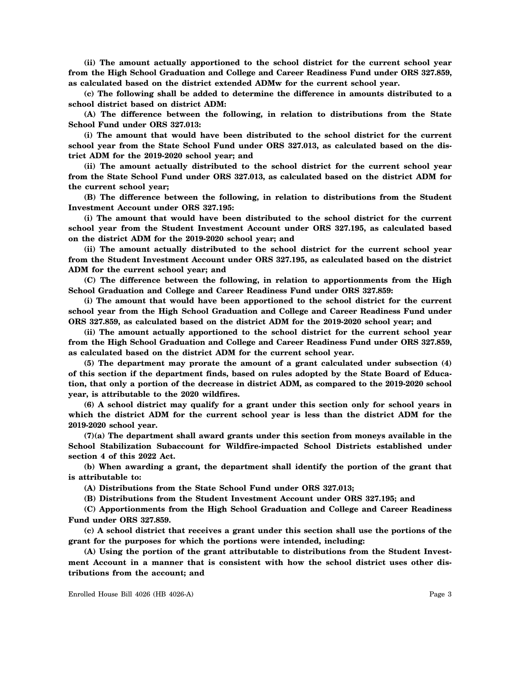**(ii) The amount actually apportioned to the school district for the current school year from the High School Graduation and College and Career Readiness Fund under ORS 327.859, as calculated based on the district extended ADMw for the current school year.**

**(c) The following shall be added to determine the difference in amounts distributed to a school district based on district ADM:**

**(A) The difference between the following, in relation to distributions from the State School Fund under ORS 327.013:**

**(i) The amount that would have been distributed to the school district for the current school year from the State School Fund under ORS 327.013, as calculated based on the district ADM for the 2019-2020 school year; and**

**(ii) The amount actually distributed to the school district for the current school year from the State School Fund under ORS 327.013, as calculated based on the district ADM for the current school year;**

**(B) The difference between the following, in relation to distributions from the Student Investment Account under ORS 327.195:**

**(i) The amount that would have been distributed to the school district for the current school year from the Student Investment Account under ORS 327.195, as calculated based on the district ADM for the 2019-2020 school year; and**

**(ii) The amount actually distributed to the school district for the current school year from the Student Investment Account under ORS 327.195, as calculated based on the district ADM for the current school year; and**

**(C) The difference between the following, in relation to apportionments from the High School Graduation and College and Career Readiness Fund under ORS 327.859:**

**(i) The amount that would have been apportioned to the school district for the current school year from the High School Graduation and College and Career Readiness Fund under ORS 327.859, as calculated based on the district ADM for the 2019-2020 school year; and**

**(ii) The amount actually apportioned to the school district for the current school year from the High School Graduation and College and Career Readiness Fund under ORS 327.859, as calculated based on the district ADM for the current school year.**

**(5) The department may prorate the amount of a grant calculated under subsection (4) of this section if the department finds, based on rules adopted by the State Board of Education, that only a portion of the decrease in district ADM, as compared to the 2019-2020 school year, is attributable to the 2020 wildfires.**

**(6) A school district may qualify for a grant under this section only for school years in which the district ADM for the current school year is less than the district ADM for the 2019-2020 school year.**

**(7)(a) The department shall award grants under this section from moneys available in the School Stabilization Subaccount for Wildfire-impacted School Districts established under section 4 of this 2022 Act.**

**(b) When awarding a grant, the department shall identify the portion of the grant that is attributable to:**

**(A) Distributions from the State School Fund under ORS 327.013;**

**(B) Distributions from the Student Investment Account under ORS 327.195; and**

**(C) Apportionments from the High School Graduation and College and Career Readiness Fund under ORS 327.859.**

**(c) A school district that receives a grant under this section shall use the portions of the grant for the purposes for which the portions were intended, including:**

**(A) Using the portion of the grant attributable to distributions from the Student Investment Account in a manner that is consistent with how the school district uses other distributions from the account; and**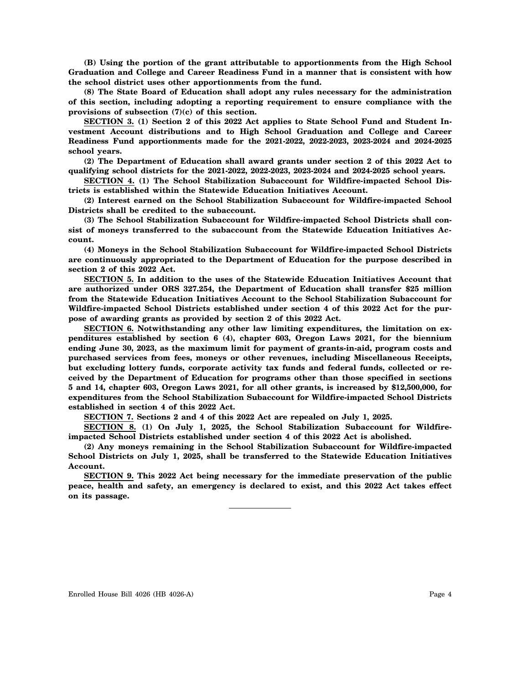**(B) Using the portion of the grant attributable to apportionments from the High School Graduation and College and Career Readiness Fund in a manner that is consistent with how the school district uses other apportionments from the fund.**

**(8) The State Board of Education shall adopt any rules necessary for the administration of this section, including adopting a reporting requirement to ensure compliance with the provisions of subsection (7)(c) of this section.**

**SECTION 3. (1) Section 2 of this 2022 Act applies to State School Fund and Student Investment Account distributions and to High School Graduation and College and Career Readiness Fund apportionments made for the 2021-2022, 2022-2023, 2023-2024 and 2024-2025 school years.**

**(2) The Department of Education shall award grants under section 2 of this 2022 Act to qualifying school districts for the 2021-2022, 2022-2023, 2023-2024 and 2024-2025 school years.**

**SECTION 4. (1) The School Stabilization Subaccount for Wildfire-impacted School Districts is established within the Statewide Education Initiatives Account.**

**(2) Interest earned on the School Stabilization Subaccount for Wildfire-impacted School Districts shall be credited to the subaccount.**

**(3) The School Stabilization Subaccount for Wildfire-impacted School Districts shall consist of moneys transferred to the subaccount from the Statewide Education Initiatives Account.**

**(4) Moneys in the School Stabilization Subaccount for Wildfire-impacted School Districts are continuously appropriated to the Department of Education for the purpose described in section 2 of this 2022 Act.**

**SECTION 5. In addition to the uses of the Statewide Education Initiatives Account that are authorized under ORS 327.254, the Department of Education shall transfer \$25 million from the Statewide Education Initiatives Account to the School Stabilization Subaccount for Wildfire-impacted School Districts established under section 4 of this 2022 Act for the purpose of awarding grants as provided by section 2 of this 2022 Act.**

**SECTION 6. Notwithstanding any other law limiting expenditures, the limitation on expenditures established by section 6 (4), chapter 603, Oregon Laws 2021, for the biennium ending June 30, 2023, as the maximum limit for payment of grants-in-aid, program costs and purchased services from fees, moneys or other revenues, including Miscellaneous Receipts, but excluding lottery funds, corporate activity tax funds and federal funds, collected or received by the Department of Education for programs other than those specified in sections 5 and 14, chapter 603, Oregon Laws 2021, for all other grants, is increased by \$12,500,000, for expenditures from the School Stabilization Subaccount for Wildfire-impacted School Districts established in section 4 of this 2022 Act.**

**SECTION 7. Sections 2 and 4 of this 2022 Act are repealed on July 1, 2025.**

**SECTION 8. (1) On July 1, 2025, the School Stabilization Subaccount for Wildfireimpacted School Districts established under section 4 of this 2022 Act is abolished.**

**(2) Any moneys remaining in the School Stabilization Subaccount for Wildfire-impacted School Districts on July 1, 2025, shall be transferred to the Statewide Education Initiatives Account.**

**SECTION 9. This 2022 Act being necessary for the immediate preservation of the public peace, health and safety, an emergency is declared to exist, and this 2022 Act takes effect on its passage.**